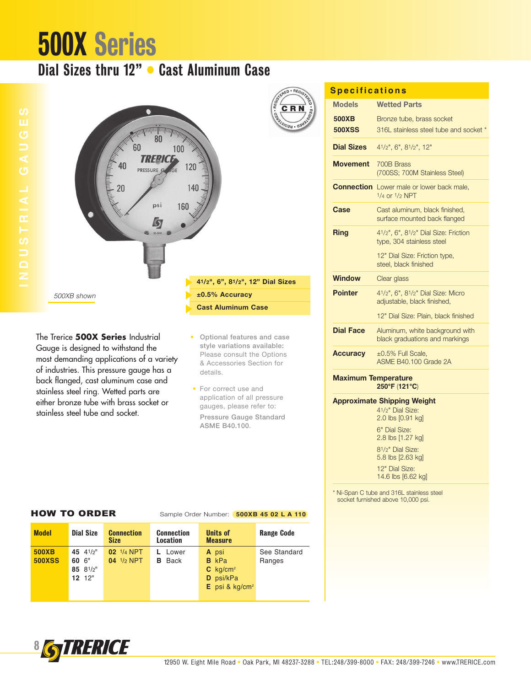## 500X Series

## Dial Sizes thru 12" • Cast Aluminum Case



The Trerice **500X Series** Industrial Gauge is designed to withstand the most demanding applications of a variety of industries. This pressure gauge has a back flanged, cast aluminum case and stainless steel ring. Wetted parts are either bronze tube with brass socket or stainless steel tube and socket.

### • Optional features and case style variations available: Please consult the Options & Accessories Section for details.

• For correct use and application of all pressure gauges, please refer to: Pressure Gauge Standard ASME B40.100.

| <b>Specifications</b> |  |  |  |  |  |  |  |
|-----------------------|--|--|--|--|--|--|--|

| <b>Models</b>              | <b>Wetted Parts</b>                                                    |
|----------------------------|------------------------------------------------------------------------|
| 500XB                      | Bronze tube, brass socket                                              |
| <b>500XSS</b>              | 316L stainless steel tube and socket *                                 |
| <b>Dial Sizes</b>          | 41/2", 6", 81/2", 12"                                                  |
| <b>Movement</b>            | 700B Brass<br>(700SS; 700M Stainless Steel)                            |
|                            | <b>Connection</b> Lower male or lower back male,<br>$1/4$ or $1/2$ NPT |
| Case                       | Cast aluminum, black finished,<br>surface mounted back flanged         |
| Ring                       | 41/2", 6", 81/2" Dial Size: Friction<br>type, 304 stainless steel      |
|                            | 12" Dial Size: Friction type,<br>steel, black finished                 |
| <b>Window</b>              | Clear glass                                                            |
| <b>Pointer</b>             | 41/2", 6", 81/2" Dial Size: Micro<br>adjustable, black finished,       |
|                            | 12" Dial Size: Plain, black finished                                   |
| <b>Dial Face</b>           | Aluminum, white background with<br>black graduations and markings      |
| <b>Accuracy</b>            | $\pm 0.5\%$ Full Scale.<br>ASME B40.100 Grade 2A                       |
| <b>Maximum Temperature</b> | 250°F (121°C)                                                          |

### **Approximate Shipping Weight**

41/2" Dial Size: 2.0 lbs [0.91 kg]

6" Dial Size: 2.8 lbs [1.27 kg] 81/2" Dial Size:

5.8 lbs [2.63 kg] 12" Dial Size:

14.6 lbs [6.62 kg]

\* Ni-Span C tube and 316L stainless steel socket furnished above 10,000 psi.

## HOW TO ORDER Sample Order Number: **500XB 45 02 L A 110**

| <b>Model</b>                  | <b>Dial Size</b>                                 | <b>Connection</b><br><b>Size</b>        | <b>Connection</b><br><b>Location</b> | Units of<br><b>Measure</b>                                                       | <b>Range Code</b>      |
|-------------------------------|--------------------------------------------------|-----------------------------------------|--------------------------------------|----------------------------------------------------------------------------------|------------------------|
| <b>500XB</b><br><b>500XSS</b> | 45 $4^{1}/2$ "<br>60 6"<br>85 81/2"<br>$12^{12}$ | 02 <sup>1/4</sup> NPT<br>$04$ $1/2$ NPT | Lower<br>Back<br>в                   | A psi<br><b>B</b> kPa<br>$C$ kg/cm <sup>2</sup><br>D psi/kPa<br>E psi & $kg/cm2$ | See Standard<br>Ranges |